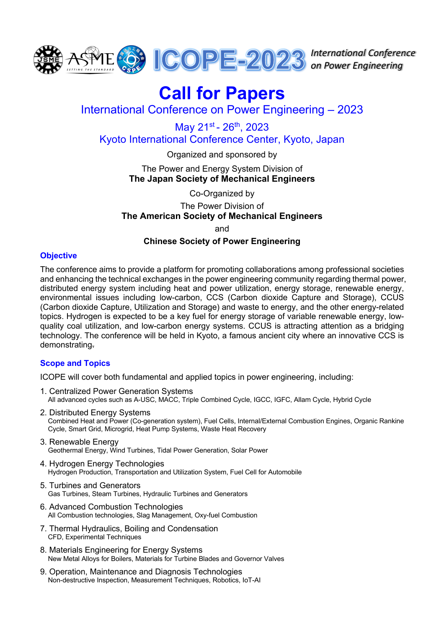

*International Conference on Power Engineering*

# **Call for Papers**

International Conference on Power Engineering – 2023

May 21st - 26th, 2023 Kyoto International Conference Center, Kyoto, Japan

> Organized and sponsored by The Power and Energy System Division of

**The Japan Society of Mechanical Engineers**

Co-Organized by The Power Division of **The American Society of Mechanical Engineers**

and

# **Chinese Society of Power Engineering**

## **Objective**

The conference aims to provide a platform for promoting collaborations among professional societies and enhancing the technical exchanges in the power engineering community regarding thermal power, distributed energy system including heat and power utilization, energy storage, renewable energy, environmental issues including low-carbon, CCS (Carbon dioxide Capture and Storage), CCUS (Carbon dioxide Capture, Utilization and Storage) and waste to energy, and the other energy-related topics. Hydrogen is expected to be a key fuel for energy storage of variable renewable energy, lowquality coal utilization, and low-carbon energy systems. CCUS is attracting attention as a bridging technology. The conference will be held in Kyoto, a famous ancient city where an innovative CCS is demonstrating.

# **Scope and Topics**

ICOPE will cover both fundamental and applied topics in power engineering, including:

- 1. Centralized Power Generation Systems All advanced cycles such as A-USC, MACC, Triple Combined Cycle, IGCC, IGFC, Allam Cycle, Hybrid Cycle
- 2. Distributed Energy Systems Combined Heat and Power (Co-generation system), Fuel Cells, Internal/External Combustion Engines, Organic Rankine Cycle, Smart Grid, Microgrid, Heat Pump Systems, Waste Heat Recovery
- 3. Renewable Energy Geothermal Energy, Wind Turbines, Tidal Power Generation, Solar Power
- 4. Hydrogen Energy Technologies Hydrogen Production, Transportation and Utilization System, Fuel Cell for Automobile
- 5. Turbines and Generators Gas Turbines, Steam Turbines, Hydraulic Turbines and Generators
- 6. Advanced Combustion Technologies All Combustion technologies, Slag Management, Oxy-fuel Combustion
- 7. Thermal Hydraulics, Boiling and Condensation CFD, Experimental Techniques
- 8. Materials Engineering for Energy Systems New Metal Alloys for Boilers, Materials for Turbine Blades and Governor Valves
- 9. Operation, Maintenance and Diagnosis Technologies Non-destructive Inspection, Measurement Techniques, Robotics, IoT-AI